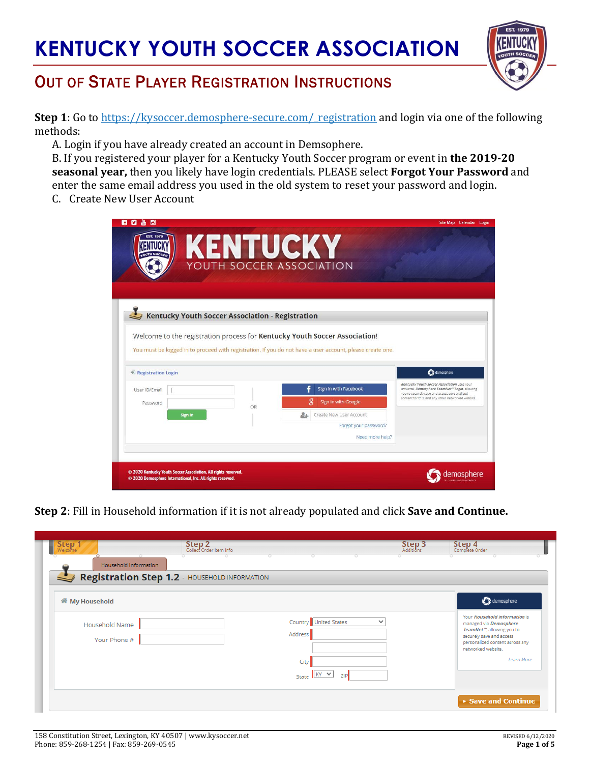

## OUT OF STATE PLAYER REGISTRATION INSTRUCTIONS

**Step 1**: Go to https://kysoccer.demosphere-secure.com/ registration and login via one of the following methods:

A. Login if you have already created an account in Demsophere.

B. If you registered your player for a Kentucky Youth Soccer program or event in **the 2019-20 seasonal year,** then you likely have login credentials. PLEASE select **Forgot Your Password** and enter the same email address you used in the old system to reset your password and login.

C. Create New User Account

| n<br>Ю                    |                                                                                                                              | KENTUCKY                                         | YOUTH SOCCER ASSOCIATION                                                                                                                                                                | Site Map Calendar Login                                                                                                                                                                            |
|---------------------------|------------------------------------------------------------------------------------------------------------------------------|--------------------------------------------------|-----------------------------------------------------------------------------------------------------------------------------------------------------------------------------------------|----------------------------------------------------------------------------------------------------------------------------------------------------------------------------------------------------|
|                           |                                                                                                                              | Kentucky Youth Soccer Association - Registration |                                                                                                                                                                                         |                                                                                                                                                                                                    |
| * Registration Login      |                                                                                                                              |                                                  | Welcome to the registration process for Kentucky Youth Soccer Association!<br>You must be logged in to proceed with registration. If you do not have a user account, please create one. | demosphere                                                                                                                                                                                         |
| User ID/Email<br>Password | <b>Sign In</b>                                                                                                               | OR                                               | Sign in with Facebook<br>Sign in with Google<br>Create New User Account<br>Forgot your password?<br>Need more help?                                                                     | Kentucky Youth Soccer Association uses your<br>universal Demosphere TeamNet" Login, allowing<br>you to securely save and access personalized<br>content for this, and any other networked website. |
|                           | © 2020 Kentucky Youth Soccer Association. All rights reserved.<br>© 2020 Demosphere International, Inc. All rights reserved. |                                                  |                                                                                                                                                                                         |                                                                                                                                                                                                    |

**Step 2**: Fill in Household information if it is not already populated and click **Save and Continue.**

| <b>Step</b><br>$\circ$         | Step 2<br>Collect Order Item Info             | $\circ$<br>0<br>o                | <b>Step 3</b><br>Additions | <b>Step 4</b><br>Complete Order                                                                                                                                                         |
|--------------------------------|-----------------------------------------------|----------------------------------|----------------------------|-----------------------------------------------------------------------------------------------------------------------------------------------------------------------------------------|
| Household Information          |                                               |                                  |                            |                                                                                                                                                                                         |
|                                | Registration Step 1.2 - HOUSEHOLD INFORMATION |                                  |                            |                                                                                                                                                                                         |
| <b>备 My Household</b>          |                                               |                                  |                            | demosphere                                                                                                                                                                              |
| Household Name<br>Your Phone # |                                               | Country United States<br>Address | $\checkmark$               | Your Household information is<br>managed via Demosphere<br>TeamNet <sup>10</sup> , allowing you to<br>securely save and access<br>personalized content across any<br>networked website. |
|                                |                                               | City<br>State KY V<br><b>ZIP</b> |                            | Learn More                                                                                                                                                                              |
|                                |                                               |                                  |                            | Save and Continue                                                                                                                                                                       |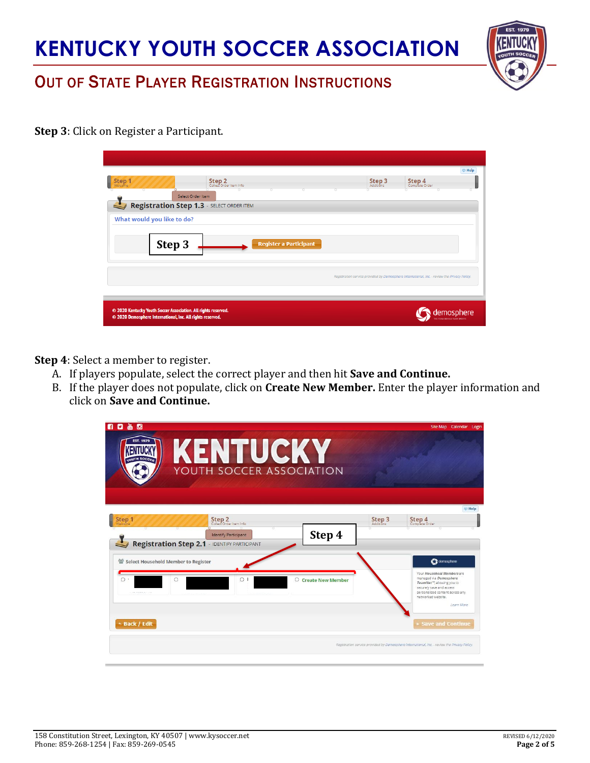

### OUT OF STATE PLAYER REGISTRATION INSTRUCTIONS

**Step 3**: Click on Register a Participant.

|                                                                |                                                  |        | <b>E</b> Help                                                                                |
|----------------------------------------------------------------|--------------------------------------------------|--------|----------------------------------------------------------------------------------------------|
| Step 1                                                         | Step 2<br>Collect Order Item Info                | Step 3 | Step 4<br>Complete Order                                                                     |
| $\circ$                                                        | Select Order Item                                |        | σ<br>n                                                                                       |
|                                                                | <b>Registration Step 1.3 - SELECT ORDER ITEM</b> |        |                                                                                              |
|                                                                |                                                  |        |                                                                                              |
| What would you like to do?                                     |                                                  |        |                                                                                              |
|                                                                |                                                  |        |                                                                                              |
|                                                                |                                                  |        |                                                                                              |
| Step 3                                                         | <b>Register a Participant</b>                    |        |                                                                                              |
|                                                                |                                                  |        |                                                                                              |
|                                                                |                                                  |        |                                                                                              |
|                                                                |                                                  |        | Registration service provided by Demosphere International, Inc. - review the Privacy Policy. |
|                                                                |                                                  |        |                                                                                              |
|                                                                |                                                  |        |                                                                                              |
| © 2020 Kentucky Youth Soccer Association. All rights reserved. |                                                  |        |                                                                                              |

**Step 4**: Select a member to register.

- A. If players populate, select the correct player and then hit **Save and Continue.**
- B. If the player does not populate, click on **Create New Member.** Enter the player information and click on **Save and Continue.**

| 80 & C<br><b>EST. 1979</b>                      | <b>KENTUCKY</b>                                                                                                         |                                     |        | Site Map Calendar Login                                                                                                                                                                                          |
|-------------------------------------------------|-------------------------------------------------------------------------------------------------------------------------|-------------------------------------|--------|------------------------------------------------------------------------------------------------------------------------------------------------------------------------------------------------------------------|
|                                                 | YOUTH SOCCER ASSOCIATION                                                                                                |                                     |        |                                                                                                                                                                                                                  |
| Step 1                                          | Step 2<br>Collect Order Item Info<br><b>Identify Participant</b><br><b>Registration Step 2.1</b> - IDENTIFY PARTICIPANT | Step 4                              | Step 3 | <b>ED</b> Help<br>Step 4<br>Complete Order                                                                                                                                                                       |
| 을 Select Household Member to Register<br>O<br>C | $\circ$                                                                                                                 | <b>Create New Member</b><br>$\circ$ |        | demosphere<br>Your Household Members are<br>managed via Demosphere<br>TeamNet <sup>re</sup> , allowing you to<br>securely save and access<br>personalized content across any<br>networked website.<br>Learn More |
| ← Back / Edit                                   |                                                                                                                         |                                     |        | <b>Save and Continue</b><br>Registration service provided by Demosphere International, Inc. - review the Privacy Policy.                                                                                         |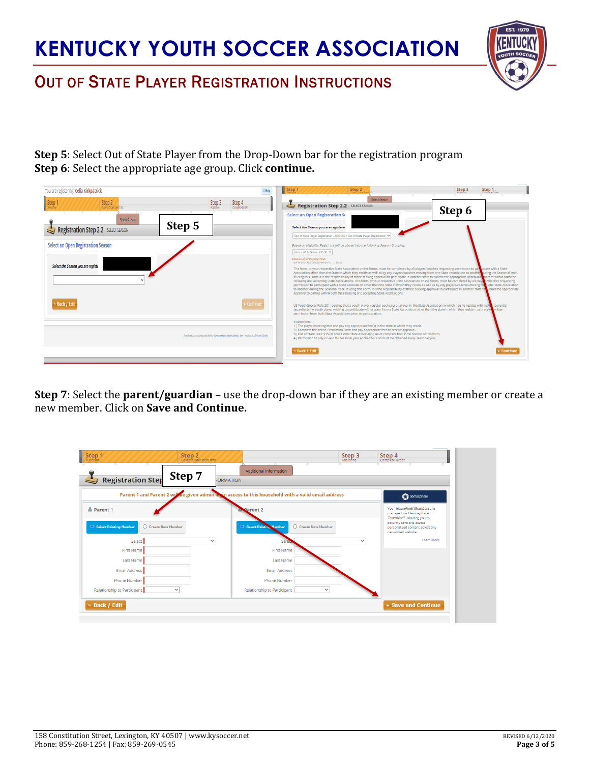

## OUT OF STATE PLAYER REGISTRATION INSTRUCTIONS

**Step 5**: Select Out of State Player from the Drop-Down bar for the registration program **Step 6**: Select the appropriate age group. Click **continue.**

| You are registering: Celia Kirkpatrick                                 |                                                                                              | Step 2<br>Step 1                                                                                                                                                                                                                                                                                                                                                                                                                                                                                                                                                                                                                                                                                                                                                                                                                                                                                                                                               | Step 3<br>Step 4<br>Complete Order |
|------------------------------------------------------------------------|----------------------------------------------------------------------------------------------|----------------------------------------------------------------------------------------------------------------------------------------------------------------------------------------------------------------------------------------------------------------------------------------------------------------------------------------------------------------------------------------------------------------------------------------------------------------------------------------------------------------------------------------------------------------------------------------------------------------------------------------------------------------------------------------------------------------------------------------------------------------------------------------------------------------------------------------------------------------------------------------------------------------------------------------------------------------|------------------------------------|
| Step 2<br><b>Step</b>                                                  | Step 4<br>Complete Order<br>Step 3                                                           | Select Season<br>Registration Step 2.2 - SELECT SEASON<br><b>Select an Open Registration Se</b>                                                                                                                                                                                                                                                                                                                                                                                                                                                                                                                                                                                                                                                                                                                                                                                                                                                                | Step 6                             |
| Select Season<br>Step 5<br>Registration Step 2.2 - SELECT SEASON       |                                                                                              | Select the Season you are registerin                                                                                                                                                                                                                                                                                                                                                                                                                                                                                                                                                                                                                                                                                                                                                                                                                                                                                                                           |                                    |
| Select an Open Registration Season<br>Select the Season you are regist |                                                                                              | Out of State Player Registration - 2020-2021 Out of State Player Registration V<br>Based on eligibility, Registrant will be placed into the following Season Grouping:<br>Girls > U7 & Below - \$35.00 ><br>Seasonal Grouping Fees<br>OUT OF STATE PLAYER REGISTRATION FEE   \$35.00<br>This form, or your respective State Association online forms, must be completed by all players/coaches requesting permission to participate with a State<br>Association other than the State in which they reside as well as by any players/coaches moving from one State Association to another tiring the Seasonal Year.<br>If using this Form, it is the responsibility of those seeking approval to participate in another state to submit the appropriate approval to parties within both the<br>releasing and accepting State Associations. This form, or your respective State Association online forms, must be completed by all playes to paraches requesting |                                    |
|                                                                        |                                                                                              | permission to participate with a State Association other than the State in which they reside as well as by any players/coaches moving frie to one State Association<br>to another during the Seasonal Year. If using this Form, it is the responsibility of those seeking approval to participate in another state to upmth the appropriate<br>approval to parties within both the releasing and accepting State Associations.                                                                                                                                                                                                                                                                                                                                                                                                                                                                                                                                 |                                    |
| + Back / Edit                                                          | ▶ Continue                                                                                   | US Youth Soccer Rule 201 requires that a youth player register each seasonal year in the State Association in which he/she resides with his/N r parent(s)<br>/guardian(s). A youth player wishing to participate with a team from a State Association other than the state in which they reside must receive written<br>permission from both State Associations prior to participation.                                                                                                                                                                                                                                                                                                                                                                                                                                                                                                                                                                        |                                    |
|                                                                        | Registration service provided by Demosphere International, Inc. - review the Privacy Policy. | Instructions:<br>1.) The player must register and pay any appropriate fee(s) in the state in which they reside.<br>2.) Complete the online Permission Form and pay appropriate fees to receive approval.<br>3.) Out of State Fees: \$35.00 Your Home State Association must complete the Home section of this form.<br>4.) Permission to play is valid for seasonal year applied for and must be obtained every seasonal year.                                                                                                                                                                                                                                                                                                                                                                                                                                                                                                                                 |                                    |
|                                                                        |                                                                                              | → Back / Edit                                                                                                                                                                                                                                                                                                                                                                                                                                                                                                                                                                                                                                                                                                                                                                                                                                                                                                                                                  | $\triangleright$ Continue          |

**Step 7**: Select the **parent/guardian** – use the drop-down bar if they are an existing member or create a new member. Click on **Save and Continue.**

| Step 1<br>Step 2<br>Collect Order Item Info<br>Welcome<br>o<br>o<br>Step 7<br><b>Registration Step</b><br>$\rightarrow$ | Additional Information<br><b>FORMATION</b>                       | Step 3<br>Additions | Step 4<br>Complete Order                                                                                                     |
|-------------------------------------------------------------------------------------------------------------------------|------------------------------------------------------------------|---------------------|------------------------------------------------------------------------------------------------------------------------------|
| Parent 1 and Parent 2 will be given admin locun access to this household with a valid email address                     |                                                                  |                     | demosphere                                                                                                                   |
| Parent 1                                                                                                                | Parent 2                                                         |                     | Your Household Members are<br>managed via Demosphere                                                                         |
| <b>O</b> Select Existing Member<br>○ Create New Member                                                                  | <b>O</b> Select Existing<br>O Create New Member<br><b>Member</b> |                     | TeamNet <sup>14</sup> , allowing you to<br>securely save and access<br>personalized content across any<br>networked website. |
| Select<br>$\checkmark$                                                                                                  |                                                                  | $\check{~}$         | Learn More                                                                                                                   |
| <b>First Name</b>                                                                                                       | <b>First Name</b>                                                |                     |                                                                                                                              |
| Last Name                                                                                                               | <b>Last Name</b>                                                 |                     |                                                                                                                              |
| Email Address                                                                                                           | <b>Email Address</b>                                             |                     |                                                                                                                              |
| Phone Number                                                                                                            | <b>Phone Number</b>                                              |                     |                                                                                                                              |
| Relationship to Participant<br>$\checkmark$                                                                             | Relationship to Participant                                      | $\checkmark$        |                                                                                                                              |
| ↑ Back / Edit                                                                                                           |                                                                  |                     | ▶ Save and Continue                                                                                                          |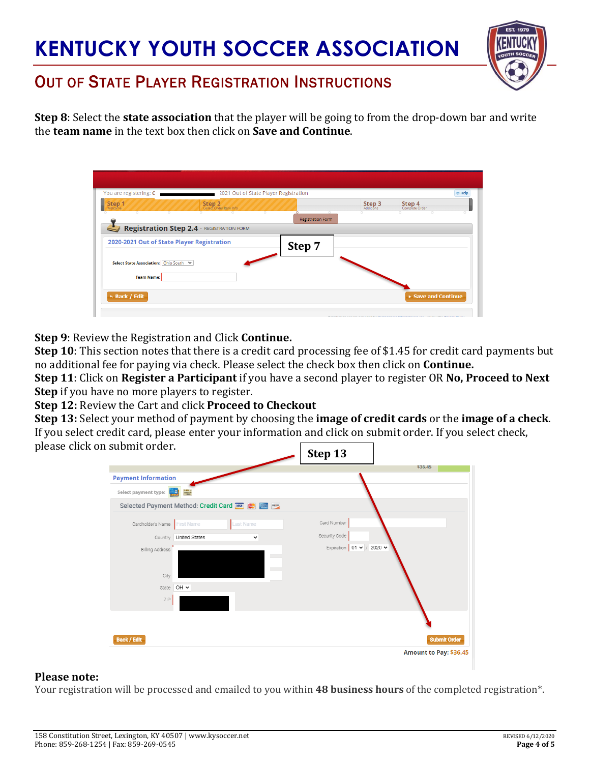

## OUT OF STATE PLAYER REGISTRATION INSTRUCTIONS

**Step 8**: Select the **state association** that the player will be going to from the drop-down bar and write the **team name** in the text box then click on **Save and Continue**.

| You are registering: C                                      |                                   | 2021 Out of State Player Registration |                            | <b>E</b> Help                                                                 |
|-------------------------------------------------------------|-----------------------------------|---------------------------------------|----------------------------|-------------------------------------------------------------------------------|
| Step 1<br>Welcom                                            | Step 2<br>Collect Order Item Info |                                       | <b>Step 3</b><br>Additions | Step 4<br>Complete Order                                                      |
|                                                             |                                   | $\circ$<br><b>Registration Form</b>   |                            |                                                                               |
| Registration Step 2.4 - REGISTRATION FORM                   |                                   |                                       |                            |                                                                               |
| 2020-2021 Out of State Player Registration                  |                                   | Step 7                                |                            |                                                                               |
| Select State Association: Ohio South V<br><b>Team Name:</b> |                                   |                                       |                            |                                                                               |
| 6 Back / Edit                                               |                                   |                                       |                            | Save and Continue                                                             |
|                                                             |                                   |                                       |                            | Bestemates southe southed by Besteman base language of less sentiments of the |

**Step 9**: Review the Registration and Click **Continue.**

**Step 10**: This section notes that there is a credit card processing fee of \$1.45 for credit card payments but no additional fee for paying via check. Please select the check box then click on **Continue.**

**Step 11**: Click on **Register a Participant** if you have a second player to register OR **No, Proceed to Next Step** if you have no more players to register.

**Step 12:** Review the Cart and click **Proceed to Checkout**

**Step 13:** Select your method of payment by choosing the **image of credit cards** or the **image of a check**. If you select credit card, please enter your information and click on submit order. If you select check, please click on submit order.

| JUDILIIL ULULL.                                        | Step 13<br>\$36.45                         |
|--------------------------------------------------------|--------------------------------------------|
| <b>Payment Information</b>                             |                                            |
| $rac{\text{OHEN}}{\text{MSE}}$<br>Select payment type: |                                            |
| Selected Payment Method: Credit Card WEAD COMERCITY    |                                            |
| Last Name<br>Cardholder's Name<br><b>First Name</b>    | Card Number                                |
| Country United States<br>$\checkmark$                  | Security Code                              |
| Billing Address                                        | Expiration $\vert$ 01 $\vee$ / 2020 $\vee$ |
| <b>COL</b>                                             |                                            |
| City                                                   |                                            |
| OH Y<br>State                                          |                                            |
| ZIP                                                    |                                            |
|                                                        |                                            |
|                                                        |                                            |
| <b>Back / Edit</b>                                     | <b>Submit Order</b>                        |
|                                                        | Amount to Pay: \$36.45                     |

#### **Please note:**

Your registration will be processed and emailed to you within **48 business hours** of the completed registration\*.